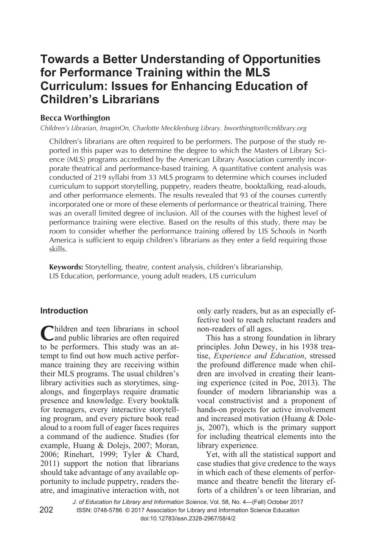# **Towards a Better Understanding of Opportunities for Performance Training within the MLS Curriculum: Issues for Enhancing Education of Children's Librarians**

## **Becca Worthington**

*Children's Librarian, ImaginOn, Charlotte Mecklenburg Library. bworthington@cmlibrary.org* 

Children's librarians are often required to be performers. The purpose of the study reported in this paper was to determine the degree to which the Masters of Library Science (MLS) programs accredited by the American Library Association currently incorporate theatrical and performance-based training. A quantitative content analysis was conducted of 219 syllabi from 33 MLS programs to determine which courses included curriculum to support storytelling, puppetry, readers theatre, booktalking, read-alouds, and other performance elements. The results revealed that 93 of the courses currently incorporated one or more of these elements of performance or theatrical training. There was an overall limited degree of inclusion. All of the courses with the highest level of performance training were elective. Based on the results of this study, there may be room to consider whether the performance training offered by LIS Schools in North America is sufficient to equip children's librarians as they enter a field requiring those skills.

**Keywords:** Storytelling, theatre, content analysis, children's librarianship, LIS Education, performance, young adult readers, LIS curriculum

### **Introduction**

Children and teen librarians in school to be performers. This study was an attempt to find out how much active performance training they are receiving within their MLS programs. The usual children's library activities such as storytimes, singalongs, and fingerplays require dramatic presence and knowledge. Every booktalk for teenagers, every interactive storytelling program, and every picture book read aloud to a room full of eager faces requires a command of the audience. Studies (for example, Huang & Dolejs, 2007; Moran, 2006; Rinehart, 1999; Tyler & Chard, 2011) support the notion that librarians should take advantage of any available opportunity to include puppetry, readers theatre, and imaginative interaction with, not

only early readers, but as an especially effective tool to reach reluctant readers and non-readers of all ages.

This has a strong foundation in library principles. John Dewey, in his 1938 treatise, *Experience and Education*, stressed the profound difference made when children are involved in creating their learning experience (cited in Poe, 2013). The founder of modern librarianship was a vocal constructivist and a proponent of hands-on projects for active involvement and increased motivation (Huang & Dolejs, 2007), which is the primary support for including theatrical elements into the library experience.

Yet, with all the statistical support and case studies that give credence to the ways in which each of these elements of performance and theatre benefit the literary efforts of a children's or teen librarian, and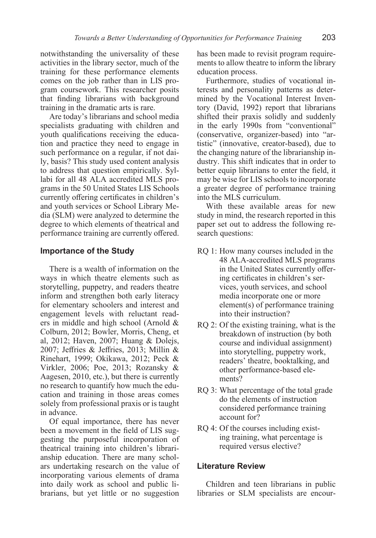notwithstanding the universality of these activities in the library sector, much of the training for these performance elements comes on the job rather than in LIS program coursework. This researcher posits that finding librarians with background training in the dramatic arts is rare.

Are today's librarians and school media specialists graduating with children and youth qualifications receiving the education and practice they need to engage in such performance on a regular, if not daily, basis? This study used content analysis to address that question empirically. Syllabi for all 48 ALA accredited MLS programs in the 50 United States LIS Schools currently offering certificates in children's and youth services or School Library Media (SLM) were analyzed to determine the degree to which elements of theatrical and performance training are currently offered.

#### **Importance of the Study**

There is a wealth of information on the ways in which theatre elements such as storytelling, puppetry, and readers theatre inform and strengthen both early literacy for elementary schoolers and interest and engagement levels with reluctant readers in middle and high school (Arnold & Colburn, 2012; Bowler, Morris, Cheng, et al, 2012; Haven, 2007; Huang & Dolejs, 2007; Jeffries & Jeffries, 2013; Millin & Rinehart, 1999; Okikawa, 2012; Peck & Virkler, 2006; Poe, 2013; Rozansky & Aagesen, 2010, etc.), but there is currently no research to quantify how much the education and training in those areas comes solely from professional praxis or is taught in advance.

Of equal importance, there has never been a movement in the field of LIS suggesting the purposeful incorporation of theatrical training into children's librarianship education. There are many scholars undertaking research on the value of incorporating various elements of drama into daily work as school and public librarians, but yet little or no suggestion

has been made to revisit program requirements to allow theatre to inform the library education process.

Furthermore, studies of vocational interests and personality patterns as determined by the Vocational Interest Inventory (David, 1992) report that librarians shifted their praxis solidly and suddenly in the early 1990s from "conventional" (conservative, organizer-based) into "artistic" (innovative, creator-based), due to the changing nature of the librarianship industry. This shift indicates that in order to better equip librarians to enter the field, it may be wise for LIS schools to incorporate a greater degree of performance training into the MLS curriculum.

With these available areas for new study in mind, the research reported in this paper set out to address the following research questions:

- RQ 1: How many courses included in the 48 ALA-accredited MLS programs in the United States currently offering certificates in children's services, youth services, and school media incorporate one or more element(s) of performance training into their instruction?
- RQ 2: Of the existing training, what is the breakdown of instruction (by both course and individual assignment) into storytelling, puppetry work, readers' theatre, booktalking, and other performance-based elements?
- RQ 3: What percentage of the total grade do the elements of instruction considered performance training account for?
- RQ 4: Of the courses including existing training, what percentage is required versus elective?

#### **Literature Review**

Children and teen librarians in public libraries or SLM specialists are encour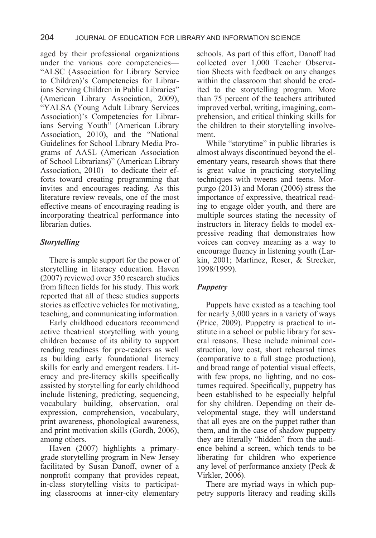aged by their professional organizations under the various core competencies— "ALSC (Association for Library Service to Children)'s Competencies for Librarians Serving Children in Public Libraries" (American Library Association, 2009), "YALSA (Young Adult Library Services Association)'s Competencies for Librarians Serving Youth" (American Library Association, 2010), and the "National Guidelines for School Library Media Programs of AASL (American Association of School Librarians)" (American Library Association, 2010)—to dedicate their efforts toward creating programming that invites and encourages reading. As this literature review reveals, one of the most effective means of encouraging reading is incorporating theatrical performance into librarian duties.

## *Storytelling*

There is ample support for the power of storytelling in literacy education. Haven (2007) reviewed over 350 research studies from fifteen fields for his study. This work reported that all of these studies supports stories as effective vehicles for motivating, teaching, and communicating information.

Early childhood educators recommend active theatrical storytelling with young children because of its ability to support reading readiness for pre-readers as well as building early foundational literacy skills for early and emergent readers. Literacy and pre-literacy skills specifically assisted by storytelling for early childhood include listening, predicting, sequencing, vocabulary building, observation, oral expression, comprehension, vocabulary, print awareness, phonological awareness, and print motivation skills (Gordh, 2006), among others.

Haven (2007) highlights a primarygrade storytelling program in New Jersey facilitated by Susan Danoff, owner of a nonprofit company that provides repeat, in-class storytelling visits to participating classrooms at inner-city elementary schools. As part of this effort, Danoff had collected over 1,000 Teacher Observation Sheets with feedback on any changes within the classroom that should be credited to the storytelling program. More than 75 percent of the teachers attributed improved verbal, writing, imagining, comprehension, and critical thinking skills for the children to their storytelling involvement.

While "storytime" in public libraries is almost always discontinued beyond the elementary years, research shows that there is great value in practicing storytelling techniques with tweens and teens. Morpurgo (2013) and Moran (2006) stress the importance of expressive, theatrical reading to engage older youth, and there are multiple sources stating the necessity of instructors in literacy fields to model expressive reading that demonstrates how voices can convey meaning as a way to encourage fluency in listening youth (Larkin, 2001; Martinez, Roser, & Strecker, 1998/1999).

## *Puppetry*

Puppets have existed as a teaching tool for nearly 3,000 years in a variety of ways (Price, 2009). Puppetry is practical to institute in a school or public library for several reasons. These include minimal construction, low cost, short rehearsal times (comparative to a full stage production), and broad range of potential visual effects, with few props, no lighting, and no costumes required. Specifically, puppetry has been established to be especially helpful for shy children. Depending on their developmental stage, they will understand that all eyes are on the puppet rather than them, and in the case of shadow puppetry they are literally "hidden" from the audience behind a screen, which tends to be liberating for children who experience any level of performance anxiety (Peck & Virkler, 2006).

There are myriad ways in which puppetry supports literacy and reading skills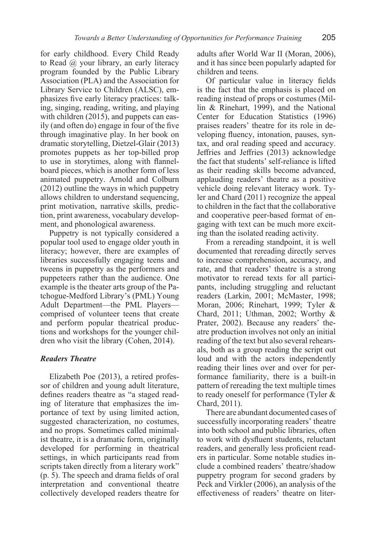for early childhood. Every Child Ready to Read @ your library, an early literacy program founded by the Public Library Association (PLA) and the Association for Library Service to Children (ALSC), emphasizes five early literacy practices: talking, singing, reading, writing, and playing with children (2015), and puppets can easily (and often do) engage in four of the five through imaginative play. In her book on dramatic storytelling, Dietzel-Glair (2013) promotes puppets as her top-billed prop to use in storytimes, along with flannelboard pieces, which is another form of less animated puppetry. Arnold and Colburn (2012) outline the ways in which puppetry allows children to understand sequencing, print motivation, narrative skills, prediction, print awareness, vocabulary development, and phonological awareness.

Puppetry is not typically considered a popular tool used to engage older youth in literacy; however, there are examples of libraries successfully engaging teens and tweens in puppetry as the performers and puppeteers rather than the audience. One example is the theater arts group of the Patchogue-Medford Library's (PML) Young Adult Department—the PML Players comprised of volunteer teens that create and perform popular theatrical productions and workshops for the younger children who visit the library (Cohen, 2014).

#### *Readers Theatre*

Elizabeth Poe (2013), a retired professor of children and young adult literature, defines readers theatre as "a staged reading of literature that emphasizes the importance of text by using limited action, suggested characterization, no costumes, and no props. Sometimes called minimalist theatre, it is a dramatic form, originally developed for performing in theatrical settings, in which participants read from scripts taken directly from a literary work" (p. 5). The speech and drama fields of oral interpretation and conventional theatre collectively developed readers theatre for

adults after World War II (Moran, 2006), and it has since been popularly adapted for children and teens.

Of particular value in literacy fields is the fact that the emphasis is placed on reading instead of props or costumes (Millin & Rinehart, 1999), and the National Center for Education Statistics (1996) praises readers' theatre for its role in developing fluency, intonation, pauses, syntax, and oral reading speed and accuracy. Jeffries and Jeffries (2013) acknowledge the fact that students' self-reliance is lifted as their reading skills become advanced, applauding readers' theatre as a positive vehicle doing relevant literacy work. Tyler and Chard (2011) recognize the appeal to children in the fact that the collaborative and cooperative peer-based format of engaging with text can be much more exciting than the isolated reading activity.

From a rereading standpoint, it is well documented that rereading directly serves to increase comprehension, accuracy, and rate, and that readers' theatre is a strong motivator to reread texts for all participants, including struggling and reluctant readers (Larkin, 2001; McMaster, 1998; Moran, 2006; Rinehart, 1999; Tyler & Chard, 2011; Uthman, 2002; Worthy & Prater, 2002). Because any readers' theatre production involves not only an initial reading of the text but also several rehearsals, both as a group reading the script out loud and with the actors independently reading their lines over and over for performance familiarity, there is a built-in pattern of rereading the text multiple times to ready oneself for performance (Tyler & Chard, 2011).

There are abundant documented cases of successfully incorporating readers' theatre into both school and public libraries, often to work with dysfluent students, reluctant readers, and generally less proficient readers in particular. Some notable studies include a combined readers' theatre/shadow puppetry program for second graders by Peck and Virkler (2006), an analysis of the effectiveness of readers' theatre on liter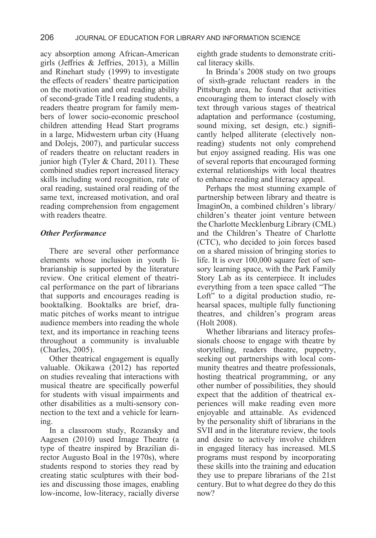acy absorption among African-American girls (Jeffries & Jeffries, 2013), a Millin and Rinehart study (1999) to investigate the effects of readers' theatre participation on the motivation and oral reading ability of second-grade Title I reading students, a readers theatre program for family members of lower socio-economic preschool children attending Head Start programs in a large, Midwestern urban city (Huang and Dolejs, 2007), and particular success of readers theatre on reluctant readers in junior high (Tyler & Chard, 2011). These combined studies report increased literacy skills including word recognition, rate of oral reading, sustained oral reading of the same text, increased motivation, and oral reading comprehension from engagement with readers theatre.

#### *Other Performance*

There are several other performance elements whose inclusion in youth librarianship is supported by the literature review. One critical element of theatrical performance on the part of librarians that supports and encourages reading is booktalking. Booktalks are brief, dramatic pitches of works meant to intrigue audience members into reading the whole text, and its importance in reaching teens throughout a community is invaluable (Charles, 2005).

Other theatrical engagement is equally valuable. Okikawa (2012) has reported on studies revealing that interactions with musical theatre are specifically powerful for students with visual impairments and other disabilities as a multi-sensory connection to the text and a vehicle for learning.

In a classroom study, Rozansky and Aagesen (2010) used Image Theatre (a type of theatre inspired by Brazilian director Augusto Boal in the 1970s), where students respond to stories they read by creating static sculptures with their bodies and discussing those images, enabling low-income, low-literacy, racially diverse eighth grade students to demonstrate critical literacy skills.

In Brinda's 2008 study on two groups of sixth-grade reluctant readers in the Pittsburgh area, he found that activities encouraging them to interact closely with text through various stages of theatrical adaptation and performance (costuming, sound mixing, set design, etc.) significantly helped alliterate (electively nonreading) students not only comprehend but enjoy assigned reading. His was one of several reports that encouraged forming external relationships with local theatres to enhance reading and literacy appeal.

Perhaps the most stunning example of partnership between library and theatre is ImaginOn, a combined children's library/ children's theater joint venture between the Charlotte Mecklenburg Library (CML) and the Children's Theatre of Charlotte (CTC), who decided to join forces based on a shared mission of bringing stories to life. It is over 100,000 square feet of sensory learning space, with the Park Family Story Lab as its centerpiece. It includes everything from a teen space called "The Loft" to a digital production studio, rehearsal spaces, multiple fully functioning theatres, and children's program areas (Holt 2008).

Whether librarians and literacy professionals choose to engage with theatre by storytelling, readers theatre, puppetry, seeking out partnerships with local community theatres and theatre professionals, hosting theatrical programming, or any other number of possibilities, they should expect that the addition of theatrical experiences will make reading even more enjoyable and attainable. As evidenced by the personality shift of librarians in the SVII and in the literature review, the tools and desire to actively involve children in engaged literacy has increased. MLS programs must respond by incorporating these skills into the training and education they use to prepare librarians of the 21st century. But to what degree do they do this now?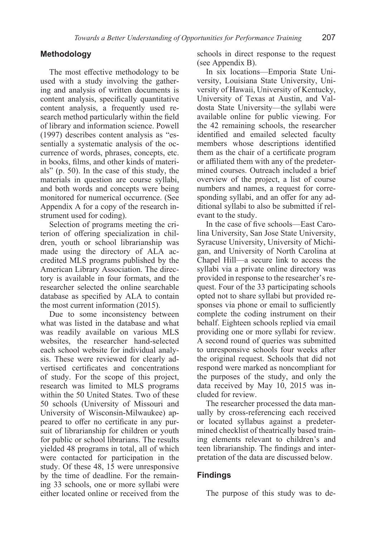#### **Methodology**

The most effective methodology to be used with a study involving the gathering and analysis of written documents is content analysis, specifically quantitative content analysis, a frequently used research method particularly within the field of library and information science. Powell (1997) describes content analysis as "essentially a systematic analysis of the occurrence of words, phrases, concepts, etc. in books, films, and other kinds of materials" (p. 50). In the case of this study, the materials in question are course syllabi, and both words and concepts were being monitored for numerical occurrence. (See Appendix A for a copy of the research instrument used for coding).

Selection of programs meeting the criterion of offering specialization in children, youth or school librarianship was made using the directory of ALA accredited MLS programs published by the American Library Association. The directory is available in four formats, and the researcher selected the online searchable database as specified by ALA to contain the most current information (2015).

Due to some inconsistency between what was listed in the database and what was readily available on various MLS websites, the researcher hand-selected each school website for individual analysis. These were reviewed for clearly advertised certificates and concentrations of study. For the scope of this project, research was limited to MLS programs within the 50 United States. Two of these 50 schools (University of Missouri and University of Wisconsin-Milwaukee) appeared to offer no certificate in any pursuit of librarianship for children or youth for public or school librarians. The results yielded 48 programs in total, all of which were contacted for participation in the study. Of these 48, 15 were unresponsive by the time of deadline. For the remaining 33 schools, one or more syllabi were either located online or received from the

schools in direct response to the request (see Appendix B).

In six locations—Emporia State University, Louisiana State University, University of Hawaii, University of Kentucky, University of Texas at Austin, and Valdosta State University—the syllabi were available online for public viewing. For the 42 remaining schools, the researcher identified and emailed selected faculty members whose descriptions identified them as the chair of a certificate program or affiliated them with any of the predetermined courses. Outreach included a brief overview of the project, a list of course numbers and names, a request for corresponding syllabi, and an offer for any additional syllabi to also be submitted if relevant to the study.

In the case of five schools—East Carolina University, San Jose State University, Syracuse University, University of Michigan, and University of North Carolina at Chapel Hill—a secure link to access the syllabi via a private online directory was provided in response to the researcher's request. Four of the 33 participating schools opted not to share syllabi but provided responses via phone or email to sufficiently complete the coding instrument on their behalf. Eighteen schools replied via email providing one or more syllabi for review. A second round of queries was submitted to unresponsive schools four weeks after the original request. Schools that did not respond were marked as noncompliant for the purposes of the study, and only the data received by May 10, 2015 was included for review.

The researcher processed the data manually by cross-referencing each received or located syllabus against a predetermined checklist of theatrically based training elements relevant to children's and teen librarianship. The findings and interpretation of the data are discussed below.

#### **Findings**

The purpose of this study was to de-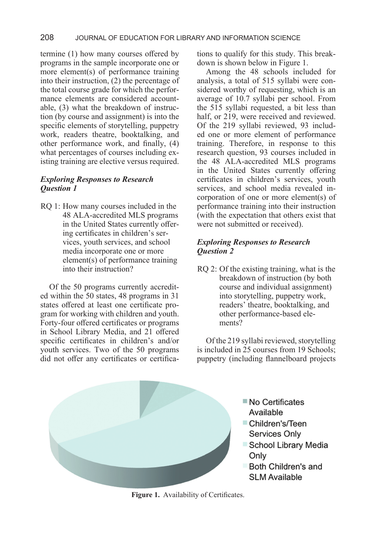termine (1) how many courses offered by programs in the sample incorporate one or more element(s) of performance training into their instruction, (2) the percentage of the total course grade for which the performance elements are considered accountable, (3) what the breakdown of instruction (by course and assignment) is into the specific elements of storytelling, puppetry work, readers theatre, booktalking, and other performance work, and finally, (4) what percentages of courses including existing training are elective versus required.

## *Exploring Responses to Research Question 1*

RQ 1: How many courses included in the 48 ALA-accredited MLS programs in the United States currently offering certificates in children's services, youth services, and school media incorporate one or more element(s) of performance training into their instruction?

Of the 50 programs currently accredited within the 50 states, 48 programs in 31 states offered at least one certificate program for working with children and youth. Forty-four offered certificates or programs in School Library Media, and 21 offered specific certificates in children's and/or youth services. Two of the 50 programs did not offer any certificates or certifications to qualify for this study. This breakdown is shown below in Figure 1.

Among the 48 schools included for analysis, a total of 515 syllabi were considered worthy of requesting, which is an average of 10.7 syllabi per school. From the 515 syllabi requested, a bit less than half, or 219, were received and reviewed. Of the 219 syllabi reviewed, 93 included one or more element of performance training. Therefore, in response to this research question, 93 courses included in the 48 ALA-accredited MLS programs in the United States currently offering certificates in children's services, youth services, and school media revealed incorporation of one or more element(s) of performance training into their instruction (with the expectation that others exist that were not submitted or received).

## *Exploring Responses to Research Question 2*

RQ 2: Of the existing training, what is the breakdown of instruction (by both course and individual assignment) into storytelling, puppetry work, readers' theatre, booktalking, and other performance-based elements?

Of the 219 syllabi reviewed, storytelling is included in 25 courses from 19 Schools; puppetry (including flannelboard projects



■ No Certificates Available

- Children's/Teen Services Only
- School Library Media
- Both Children's and **SLM Available**

**Figure 1.** Availability of Certificates.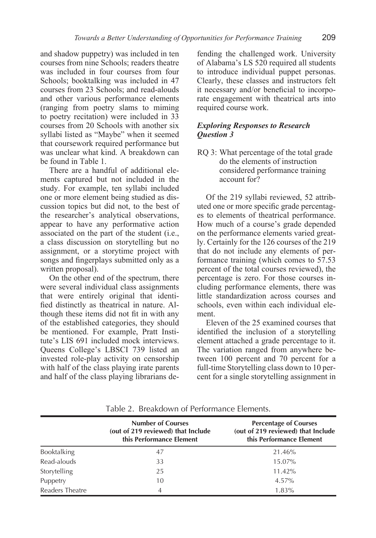and shadow puppetry) was included in ten courses from nine Schools; readers theatre was included in four courses from four Schools; booktalking was included in 47 courses from 23 Schools; and read-alouds and other various performance elements (ranging from poetry slams to miming to poetry recitation) were included in 33 courses from 20 Schools with another six syllabi listed as "Maybe" when it seemed that coursework required performance but was unclear what kind. A breakdown can be found in Table 1.

There are a handful of additional elements captured but not included in the study. For example, ten syllabi included one or more element being studied as discussion topics but did not, to the best of the researcher's analytical observations, appear to have any performative action associated on the part of the student (i.e., a class discussion on storytelling but no assignment, or a storytime project with songs and fingerplays submitted only as a written proposal).

On the other end of the spectrum, there were several individual class assignments that were entirely original that identified distinctly as theatrical in nature. Although these items did not fit in with any of the established categories, they should be mentioned. For example, Pratt Institute's LIS 691 included mock interviews. Queens College's LBSCI 739 listed an invested role-play activity on censorship with half of the class playing irate parents and half of the class playing librarians de-

fending the challenged work. University of Alabama's LS 520 required all students to introduce individual puppet personas. Clearly, these classes and instructors felt it necessary and/or beneficial to incorporate engagement with theatrical arts into required course work.

#### *Exploring Responses to Research Question 3*

RQ 3: What percentage of the total grade do the elements of instruction considered performance training account for?

Of the 219 syllabi reviewed, 52 attributed one or more specific grade percentages to elements of theatrical performance. How much of a course's grade depended on the performance elements varied greatly. Certainly for the 126 courses of the 219 that do not include any elements of performance training (which comes to 57.53 percent of the total courses reviewed), the percentage is zero. For those courses including performance elements, there was little standardization across courses and schools, even within each individual element.

Eleven of the 25 examined courses that identified the inclusion of a storytelling element attached a grade percentage to it. The variation ranged from anywhere between 100 percent and 70 percent for a full-time Storytelling class down to 10 percent for a single storytelling assignment in

|                 | <b>Number of Courses</b><br>(out of 219 reviewed) that Include<br>this Performance Element | <b>Percentage of Courses</b><br>(out of 219 reviewed) that Include<br>this Performance Element |
|-----------------|--------------------------------------------------------------------------------------------|------------------------------------------------------------------------------------------------|
| Booktalking     | 47                                                                                         | 21.46%                                                                                         |
| Read-alouds     | 33                                                                                         | 15.07%                                                                                         |
| Storytelling    | 25                                                                                         | 11.42%                                                                                         |
| Puppetry        | 10                                                                                         | 4.57%                                                                                          |
| Readers Theatre | 4                                                                                          | 1.83%                                                                                          |

Table 2. Breakdown of Performance Elements.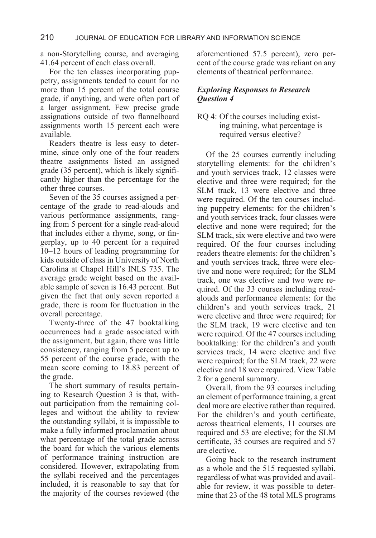a non-Storytelling course, and averaging 41.64 percent of each class overall.

For the ten classes incorporating puppetry, assignments tended to count for no more than 15 percent of the total course grade, if anything, and were often part of a larger assignment. Few precise grade assignations outside of two flannelboard assignments worth 15 percent each were available.

Readers theatre is less easy to determine, since only one of the four readers theatre assignments listed an assigned grade (35 percent), which is likely significantly higher than the percentage for the other three courses.

Seven of the 35 courses assigned a percentage of the grade to read-alouds and various performance assignments, ranging from 5 percent for a single read-aloud that includes either a rhyme, song, or fingerplay, up to 40 percent for a required 10–12 hours of leading programming for kids outside of class in University of North Carolina at Chapel Hill's INLS 735. The average grade weight based on the available sample of seven is 16.43 percent. But given the fact that only seven reported a grade, there is room for fluctuation in the overall percentage.

Twenty-three of the 47 booktalking occurrences had a grade associated with the assignment, but again, there was little consistency, ranging from 5 percent up to 55 percent of the course grade, with the mean score coming to 18.83 percent of the grade.

The short summary of results pertaining to Research Question 3 is that, without participation from the remaining colleges and without the ability to review the outstanding syllabi, it is impossible to make a fully informed proclamation about what percentage of the total grade across the board for which the various elements of performance training instruction are considered. However, extrapolating from the syllabi received and the percentages included, it is reasonable to say that for the majority of the courses reviewed (the

aforementioned 57.5 percent), zero percent of the course grade was reliant on any elements of theatrical performance.

### *Exploring Responses to Research Question 4*

RQ 4: Of the courses including existing training, what percentage is required versus elective?

Of the 25 courses currently including storytelling elements: for the children's and youth services track, 12 classes were elective and three were required; for the SLM track, 13 were elective and three were required. Of the ten courses including puppetry elements: for the children's and youth services track, four classes were elective and none were required; for the SLM track, six were elective and two were required. Of the four courses including readers theatre elements: for the children's and youth services track, three were elective and none were required; for the SLM track, one was elective and two were required. Of the 33 courses including readalouds and performance elements: for the children's and youth services track, 21 were elective and three were required; for the SLM track, 19 were elective and ten were required. Of the 47 courses including booktalking: for the children's and youth services track, 14 were elective and five were required; for the SLM track, 22 were elective and 18 were required. View Table 2 for a general summary.

Overall, from the 93 courses including an element of performance training, a great deal more are elective rather than required. For the children's and youth certificate, across theatrical elements, 11 courses are required and 53 are elective; for the SLM certificate, 35 courses are required and 57 are elective.

Going back to the research instrument as a whole and the 515 requested syllabi, regardless of what was provided and available for review, it was possible to determine that 23 of the 48 total MLS programs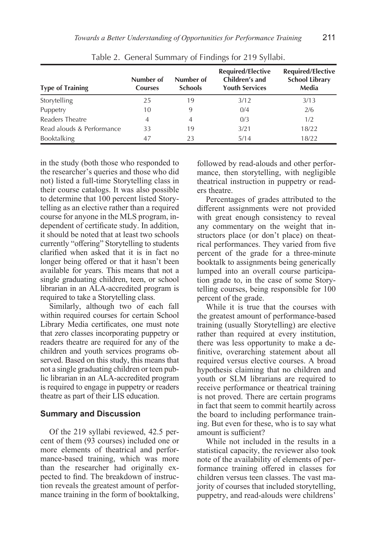|                           | Number of      | Number of      | <b>Required/Elective</b><br>Children's and | <b>Required/Elective</b><br><b>School Library</b> |
|---------------------------|----------------|----------------|--------------------------------------------|---------------------------------------------------|
| <b>Type of Training</b>   | <b>Courses</b> | <b>Schools</b> | <b>Youth Services</b>                      | Media                                             |
| Storytelling              | 25             | 19             | 3/12                                       | 3/13                                              |
| Puppetry                  | 10             | 9              | 0/4                                        | 2/6                                               |
| Readers Theatre           | 4              | 4              | 0/3                                        | 1/2                                               |
| Read alouds & Performance | 33             | 19             | 3/21                                       | 18/22                                             |
| Booktalking               | 47             | 23             | 5/14                                       | 18/22                                             |

Table 2. General Summary of Findings for 219 Syllabi.

in the study (both those who responded to the researcher's queries and those who did not) listed a full-time Storytelling class in their course catalogs. It was also possible to determine that 100 percent listed Storytelling as an elective rather than a required course for anyone in the MLS program, independent of certificate study. In addition, it should be noted that at least two schools currently "offering" Storytelling to students clarified when asked that it is in fact no longer being offered or that it hasn't been available for years. This means that not a single graduating children, teen, or school librarian in an ALA-accredited program is required to take a Storytelling class.

Similarly, although two of each fall within required courses for certain School Library Media certificates, one must note that zero classes incorporating puppetry or readers theatre are required for any of the children and youth services programs observed. Based on this study, this means that not a single graduating children or teen public librarian in an ALA-accredited program is required to engage in puppetry or readers theatre as part of their LIS education.

#### **Summary and Discussion**

Of the 219 syllabi reviewed, 42.5 percent of them (93 courses) included one or more elements of theatrical and performance-based training, which was more than the researcher had originally expected to find. The breakdown of instruction reveals the greatest amount of performance training in the form of booktalking, followed by read-alouds and other performance, then storytelling, with negligible theatrical instruction in puppetry or readers theatre.

Percentages of grades attributed to the different assignments were not provided with great enough consistency to reveal any commentary on the weight that instructors place (or don't place) on theatrical performances. They varied from five percent of the grade for a three-minute booktalk to assignments being generically lumped into an overall course participation grade to, in the case of some Storytelling courses, being responsible for 100 percent of the grade.

While it is true that the courses with the greatest amount of performance-based training (usually Storytelling) are elective rather than required at every institution, there was less opportunity to make a definitive, overarching statement about all required versus elective courses. A broad hypothesis claiming that no children and youth or SLM librarians are required to receive performance or theatrical training is not proved. There are certain programs in fact that seem to commit heartily across the board to including performance training. But even for these, who is to say what amount is sufficient?

While not included in the results in a statistical capacity, the reviewer also took note of the availability of elements of performance training offered in classes for children versus teen classes. The vast majority of courses that included storytelling, puppetry, and read-alouds were childrens'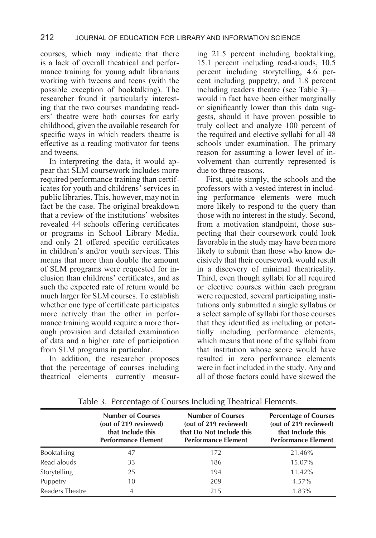courses, which may indicate that there is a lack of overall theatrical and performance training for young adult librarians working with tweens and teens (with the possible exception of booktalking). The researcher found it particularly interesting that the two courses mandating readers' theatre were both courses for early childhood, given the available research for specific ways in which readers theatre is effective as a reading motivator for teens and tweens.

In interpreting the data, it would appear that SLM coursework includes more required performance training than certificates for youth and childrens' services in public libraries. This, however, may not in fact be the case. The original breakdown that a review of the institutions' websites revealed 44 schools offering certificates or programs in School Library Media, and only 21 offered specific certificates in children's and/or youth services. This means that more than double the amount of SLM programs were requested for inclusion than childrens' certificates, and as such the expected rate of return would be much larger for SLM courses. To establish whether one type of certificate participates more actively than the other in performance training would require a more thorough provision and detailed examination of data and a higher rate of participation from SLM programs in particular.

In addition, the researcher proposes that the percentage of courses including theatrical elements—currently measuring 21.5 percent including booktalking, 15.1 percent including read-alouds, 10.5 percent including storytelling, 4.6 percent including puppetry, and 1.8 percent including readers theatre (see Table 3) would in fact have been either marginally or significantly lower than this data suggests, should it have proven possible to truly collect and analyze 100 percent of the required and elective syllabi for all 48 schools under examination. The primary reason for assuming a lower level of involvement than currently represented is due to three reasons.

First, quite simply, the schools and the professors with a vested interest in including performance elements were much more likely to respond to the query than those with no interest in the study. Second, from a motivation standpoint, those suspecting that their coursework could look favorable in the study may have been more likely to submit than those who know decisively that their coursework would result in a discovery of minimal theatricality. Third, even though syllabi for all required or elective courses within each program were requested, several participating institutions only submitted a single syllabus or a select sample of syllabi for those courses that they identified as including or potentially including performance elements, which means that none of the syllabi from that institution whose score would have resulted in zero performance elements were in fact included in the study. Any and all of those factors could have skewed the

|                 | <b>Number of Courses</b><br>(out of 219 reviewed)<br>that Include this<br><b>Performance Element</b> | <b>Number of Courses</b><br>(out of 219 reviewed)<br>that Do Not Include this<br><b>Performance Element</b> | <b>Percentage of Courses</b><br>(out of 219 reviewed)<br>that Include this<br><b>Performance Element</b> |
|-----------------|------------------------------------------------------------------------------------------------------|-------------------------------------------------------------------------------------------------------------|----------------------------------------------------------------------------------------------------------|
| Booktalking     | 47                                                                                                   | 172                                                                                                         | 21.46%                                                                                                   |
| Read-alouds     | 33                                                                                                   | 186                                                                                                         | 15.07%                                                                                                   |
| Storytelling    | 25                                                                                                   | 194                                                                                                         | 11.42%                                                                                                   |
| Puppetry        | 10                                                                                                   | 209                                                                                                         | 4.57%                                                                                                    |
| Readers Theatre | 4                                                                                                    | 215                                                                                                         | 1.83%                                                                                                    |

Table 3. Percentage of Courses Including Theatrical Elements.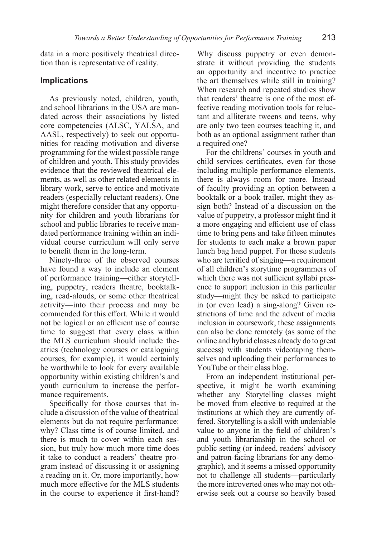data in a more positively theatrical direction than is representative of reality.

#### **Implications**

As previously noted, children, youth, and school librarians in the USA are mandated across their associations by listed core competencies (ALSC, YALSA, and AASL, respectively) to seek out opportunities for reading motivation and diverse programming for the widest possible range of children and youth. This study provides evidence that the reviewed theatrical elements, as well as other related elements in library work, serve to entice and motivate readers (especially reluctant readers). One might therefore consider that any opportunity for children and youth librarians for school and public libraries to receive mandated performance training within an individual course curriculum will only serve to benefit them in the long-term.

Ninety-three of the observed courses have found a way to include an element of performance training—either storytelling, puppetry, readers theatre, booktalking, read-alouds, or some other theatrical activity—into their process and may be commended for this effort. While it would not be logical or an efficient use of course time to suggest that every class within the MLS curriculum should include theatrics (technology courses or cataloguing courses, for example), it would certainly be worthwhile to look for every available opportunity within existing children's and youth curriculum to increase the performance requirements.

Specifically for those courses that include a discussion of the value of theatrical elements but do not require performance: why? Class time is of course limited, and there is much to cover within each session, but truly how much more time does it take to conduct a readers' theatre program instead of discussing it or assigning a reading on it. Or, more importantly, how much more effective for the MLS students in the course to experience it first-hand? Why discuss puppetry or even demonstrate it without providing the students an opportunity and incentive to practice the art themselves while still in training? When research and repeated studies show that readers' theatre is one of the most effective reading motivation tools for reluctant and alliterate tweens and teens, why are only two teen courses teaching it, and both as an optional assignment rather than a required one?

For the childrens' courses in youth and child services certificates, even for those including multiple performance elements, there is always room for more. Instead of faculty providing an option between a booktalk or a book trailer, might they assign both? Instead of a discussion on the value of puppetry, a professor might find it a more engaging and efficient use of class time to bring pens and take fifteen minutes for students to each make a brown paper lunch bag hand puppet. For those students who are terrified of singing—a requirement of all children's storytime programmers of which there was not sufficient syllabi presence to support inclusion in this particular study—might they be asked to participate in (or even lead) a sing-along? Given restrictions of time and the advent of media inclusion in coursework, these assignments can also be done remotely (as some of the online and hybrid classes already do to great success) with students videotaping themselves and uploading their performances to YouTube or their class blog.

From an independent institutional perspective, it might be worth examining whether any Storytelling classes might be moved from elective to required at the institutions at which they are currently offered. Storytelling is a skill with undeniable value to anyone in the field of children's and youth librarianship in the school or public setting (or indeed, readers' advisory and patron-facing librarians for any demographic), and it seems a missed opportunity not to challenge all students—particularly the more introverted ones who may not otherwise seek out a course so heavily based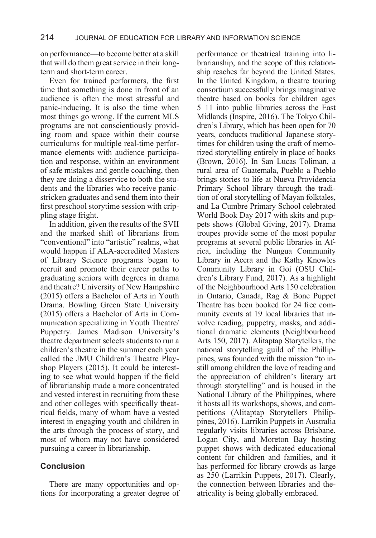on performance—to become better at a skill that will do them great service in their longterm and short-term career.

Even for trained performers, the first time that something is done in front of an audience is often the most stressful and panic-inducing. It is also the time when most things go wrong. If the current MLS programs are not conscientiously providing room and space within their course curriculums for multiple real-time performance elements with audience participation and response, within an environment of safe mistakes and gentle coaching, then they are doing a disservice to both the students and the libraries who receive panicstricken graduates and send them into their first preschool storytime session with crippling stage fright.

In addition, given the results of the SVII and the marked shift of librarians from "conventional" into "artistic" realms, what would happen if ALA-accredited Masters of Library Science programs began to recruit and promote their career paths to graduating seniors with degrees in drama and theatre? University of New Hampshire (2015) offers a Bachelor of Arts in Youth Drama. Bowling Green State University (2015) offers a Bachelor of Arts in Communication specializing in Youth Theatre/ Puppetry. James Madison University's theatre department selects students to run a children's theatre in the summer each year called the JMU Children's Theatre Playshop Players (2015). It could be interesting to see what would happen if the field of librarianship made a more concentrated and vested interest in recruiting from these and other colleges with specifically theatrical fields, many of whom have a vested interest in engaging youth and children in the arts through the process of story, and most of whom may not have considered pursuing a career in librarianship.

### **Conclusion**

There are many opportunities and options for incorporating a greater degree of performance or theatrical training into librarianship, and the scope of this relationship reaches far beyond the United States. In the United Kingdom, a theatre touring consortium successfully brings imaginative theatre based on books for children ages 5–11 into public libraries across the East Midlands (Inspire, 2016). The Tokyo Children's Library, which has been open for 70 years, conducts traditional Japanese storytimes for children using the craft of memorized storytelling entirely in place of books (Brown, 2016). In San Lucas Toliman, a rural area of Guatemala, Pueblo a Pueblo brings stories to life at Nueva Providencia Primary School library through the tradition of oral storytelling of Mayan folktales, and La Cumbre Primary School celebrated World Book Day 2017 with skits and puppets shows (Global Giving, 2017). Drama troupes provide some of the most popular programs at several public libraries in Africa, including the Nungua Community Library in Accra and the Kathy Knowles Community Library in Goi (OSU Children's Library Fund, 2017). As a highlight of the Neighbourhood Arts 150 celebration in Ontario, Canada, Rag & Bone Puppet Theatre has been booked for 24 free community events at 19 local libraries that involve reading, puppetry, masks, and additional dramatic elements (Neighbourhood Arts 150, 2017). Alitaptap Storytellers, the national storytelling guild of the Phillippines, was founded with the mission "to instill among children the love of reading and the appreciation of children's literary art through storytelling" and is housed in the National Library of the Philippines, where it hosts all its workshops, shows, and competitions (Alitaptap Storytellers Philippines, 2016). Larrikin Puppets in Australia regularly visits libraries across Brisbane, Logan City, and Moreton Bay hosting puppet shows with dedicated educational content for children and families, and it has performed for library crowds as large as 250 (Larrikin Puppets, 2017). Clearly, the connection between libraries and theatricality is being globally embraced.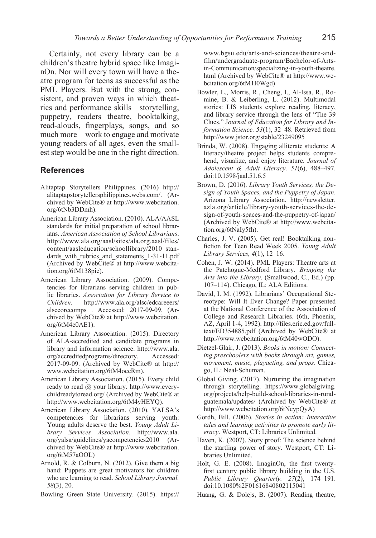Certainly, not every library can be a children's theatre hybrid space like ImaginOn. Nor will every town will have a theatre program for teens as successful as the PML Players. But with the strong, consistent, and proven ways in which theatrics and performance skills—storytelling, puppetry, readers theatre, booktalking, read-alouds, fingerplays, songs, and so much more—work to engage and motivate young readers of all ages, even the smallest step would be one in the right direction.

### **References**

- Alitaptap Storytellers Philippines. (2016) http:// alitaptapstorytellersphilippines.webs.com/. (Archived by WebCite® at http://www.webcitation. org/6tNb3DDmh).
- American Library Association. (2010). ALA/AASL standards for initial preparation of school librarians. *American Association of School Librarians*. http://www.ala.org/aasl/sites/ala.org.aasl/files/ content/aasleducation/schoollibrary/2010\_standards with rubrics and statements 1-31-11.pdf (Archived by WebCite® at http://www.webcitation.org/6tM138pie).
- American Library Association. (2009). Competencies for librarians serving children in public libraries. *Association for Library Service to Children*. http://www.ala.org/alsc/edcareeers/ alsccorecomps . Accessed: 2017-09-09. (Archived by WebCite® at http://www.webcitation. org/6tM4e0AE1).
- American Library Association. (2015). Directory of ALA-accredited and candidate programs in library and information science. http://www.ala. org/accreditedprograms/directory. Accessed: 2017-09-09. (Archived by WebCite® at http:// www.webcitation.org/6tM4oeeRm).
- American Library Association. (2015). Every child ready to read @ your library. http://www.everychildreadytoread.org/ (Archived by WebCite® at http://www.webcitation.org/6tM4yHEYQ).
- American Library Association. (2010). YALSA's competencies for librarians serving youth: Young adults deserve the best. *Young Adult Library Services Association*. http://www.ala. org/yalsa/guidelines/yacompetencies2010 (Archived by WebCite® at http://www.webcitation. org/6tM57aOOL)
- Arnold, R. & Colburn, N. (2012). Give them a big hand: Puppets are great motivators for children who are learning to read. *School Library Journal. 58*(3), 20.
- Bowling Green State University. (2015). https://

www.bgsu.edu/arts-and-sciences/theatre-andfilm/undergraduate-program/Bachelor-of-Artsin-Communication/specializing-in-youth-theatre. html (Archived by WebCite® at http://www.webcitation.org/6tM1I0Wgd)

- Bowler, L., Morris, R., Cheng, I., Al-Issa, R., Romine, B. & Leiberling, L. (2012). Multimodal stories: LIS students explore reading, literacy, and library service through the lens of "The 39 Clues." J*ournal of Education for Library and Information Science. 53*(1), 32–48. Retrieved from http://www.jstor.org/stable/23249095
- Brinda, W. (2008). Engaging alliterate students: A literacy/theatre project helps students comprehend, visualize, and enjoy literature. *Journal of Adolescent & Adult Literacy. 51*(6), 488–497. doi:10.1598/jaal.51.6.5
- Brown, D. (2016). *Library Youth Services, the Design of Youth Spaces, and the Puppetry of Japan*. Arizona Library Association. http://newsletter. azla.org/article/library-youth-services-the-design-of-youth-spaces-and-the-puppetry-of-japan/ (Archived by WebCite® at http://www.webcitation.org/6tNaIy5fh).
- Charles, J. V. (2005). Get real! Booktalking nonfiction for Teen Read Week 2005. *Young Adult Library Services, 4*(1), 12–16.
- Cohen, J. W. (2014). PML Players: Theatre arts at the Patchogue-Medford Library. *Bringing the Arts into the Library*. (Smallwood, C., Ed.) (pp. 107–114). Chicago, IL: ALA Editions.
- David, I. M. (1992). Librarians' Occupational Stereotype: Will It Ever Change? Paper presented at the National Conference of the Association of College and Research Libraries. (6th, Phoenix, AZ, April 1-4, 1992). http://files.eric.ed.gov/fulltext/ED354885.pdf (Archived by WebCite® at http://www.webcitation.org/6tM40wODO).
- Dietzel-Glair, J. (2013). *Books in motion: Connecting preschoolers with books through art, games, movement, music, playacting, and props*. Chicago, IL: Neal-Schuman.
- Global Giving. (2017). Nurturing the imagination through storytelling. https://www.globalgiving. org/projects/help-build-school-libraries-in-ruralguatemala/updates/ (Archived by WebCite® at http://www.webcitation.org/6tNcypQyA)
- Gordh, Bill. (2006). *Stories in action: Interactive tales and learning activities to promote early literacy*. Westport, CT: Libraries Unlimited.
- Haven, K. (2007). Story proof: The science behind the startling power of story. Westport, CT: Libraries Unlimited.
- Holt, G. E. (2008). ImaginOn, the first twentyfirst century public library building in the U.S. *Public Library Quarterly. 27*(2), 174–191. doi:10.1080%2F01616840802115041
- Huang, G. & Dolejs, B. (2007). Reading theatre,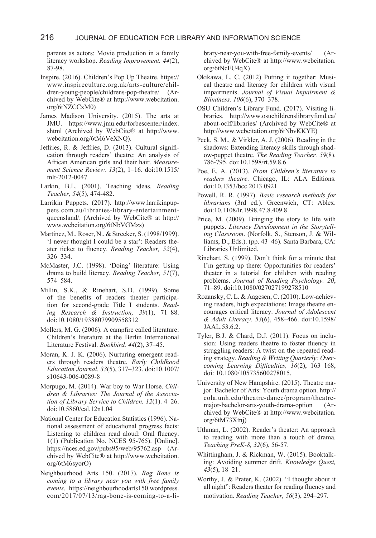parents as actors: Movie production in a family literacy workshop. *Reading Improvement. 44*(2), 87-98.

- Inspire. (2016). Children's Pop Up Theatre. https:// www.inspireculture.org.uk/arts-culture/children-young-people/childrens-pop-theatre/ (Archived by WebCite® at http://www.webcitation. org/6tNZCCxM0)
- James Madison University. (2015). The arts at JMU. https://www.jmu.edu/forbescenter/index. shtml (Archived by WebCite® at http://www. webcitation.org/6tM6VeXNQ).
- Jeffries, R. & Jeffries, D. (2013). Cultural signification through readers' theatre: An analysis of African American girls and their hair. *Measurement Science Review. 13*(2), 1–16. doi:10.1515/ mlt-2012-0047
- Larkin, B.L. (2001). Teaching ideas. *Reading Teacher, 54*(5), 474-482.
- Larrikin Puppets. (2017). http://www.larrikinpuppets.com.au/libraries-library-entertainmentqueensland/. (Archived by WebCite® at http:// www.webcitation.org/6tNbVGMzs)
- Martinez, M., Roser, N., & Strecker, S. (1998/1999). 'I never thought I could be a star': Readers theater ticket to fluency. *Reading Teacher, 52*(4), 326–334.
- McMaster, J.C. (1998). 'Doing' literature: Using drama to build literacy. *Reading Teacher, 51*(7), 574–584.
- Millin, S.K., & Rinehart, S.D. (1999). Some of the benefits of readers theater participation for second-grade Title I students. *Reading Research & Instruction, 39*(1), 71–88. doi:10.1080/19388079909558312
- Mollers, M. G. (2006). A campfire called literature: Children's literature at the Berlin International Literature Festival. *Bookbird. 44*(2), 37–45.
- Moran, K. J. K. (2006). Nurturing emergent readers through readers theatre. *Early Childhood Education Journal. 33*(5), 317–323. doi:10.1007/ s10643-006-0089-8
- Morpugo, M. (2014). War boy to War Horse. *Children & Libraries: The Journal of the Association of Library Service to Children. 12*(1). 4–26. doi:10.5860/cal.12n1.04
- National Center for Education Statistics (1996). National assessment of educational progress facts: Listening to children read aloud: Oral fluency. 1(1) (Publication No. NCES 95-765). [Online]. https://nces.ed.gov/pubs95/web/95762.asp (Archived by WebCite® at http://www.webcitation. org/6tM6syorO)
- Neighbourhood Arts 150. (2017). *Rag Bone is coming to a library near you with free family events*. https://neighbourhoodarts150.wordpress. com/2017/07/13/rag-bone-is-coming-to-a-li-

brary-near-you-with-free-family-events/ (Archived by WebCite® at http://www.webcitation. org/6tNcFU4qX)

- Okikawa, L. C. (2012) Putting it together: Musical theatre and literacy for children with visual impairments. *Journal of Visual Impairment & Blindness. 106*(6), 370–378.
- OSU Children's Library Fund. (2017). Visiting libraries. http://www.osuchildrenslibraryfund.ca/ about-oclf/libraries/ (Archived by WebCite® at http://www.webcitation.org/6tNbvKKYE)
- Peck, S. M., & Virkler, A. J. (2006). Reading in the shadows: Extending literacy skills through shadow-puppet theatre. *The Reading Teacher. 59*(8). 786-795. doi:10.1598/rt.59.8.6
- Poe, E. A. (2013). *From Children's literature to readers theatre*. Chicago, IL: ALA Editions. doi:10.1353/bcc.2013.0921
- Powell, R. R. (1997). *Basic research methods for librarians* (3rd ed.). Greenwich, CT: Ablex. doi:10.1108/lr.1998.47.8.409.8
- Price, M. (2009). Bringing the story to life with puppets. *Literacy Development in the Storytelling Classroom*. (Norfolk, S., Stenson, J. & Williams, D., Eds.). (pp. 43–46). Santa Barbara, CA: Libraries Unlimited.
- Rinehart, S. (1999). Don't think for a minute that I'm getting up there: Opportunities for readers' theater in a tutorial for children with reading problems. *Journal of Reading Psychology. 20*, 71–89. doi:10.1080/027027199278510
- Rozansky, C. L. & Aagesen, C. (2010). Low-achieving readers, high expectations: Image theatre encourages critical literacy. *Journal of Adolescent & Adult Literacy. 53*(6), 458–466. doi:10.1598/ JAAL.53.6.2.
- Tyler, B.J. & Chard, D.J. (2011). Focus on inclusion: Using readers theatre to foster fluency in struggling readers: A twist on the repeated reading strategy. *Reading & Writing Quarterly: Overcoming Learning Difficulties, 16*(2), 163–168, doi: 10.1080/105735600278015.
- University of New Hampshire. (2015). Theatre major: Bachelor of Arts: Youth drama option. http:// cola.unh.edu/theatre-dance/program/theatremajor-bachelor-arts-youth-drama-option (Archived by WebCite® at http://www.webcitation. org/6tM73Xtnj)
- Uthman, L. (2002). Reader's theater: An approach to reading with more than a touch of drama. *Teaching PreK-8, 32*(6), 56-57.
- Whittingham, J. & Rickman, W. (2015). Booktalking: Avoiding summer drift. *Knowledge Quest, 43*(5), 18–21.
- Worthy, J. & Prater, K. (2002). "I thought about it all night": Readers theater for reading fluency and motivation. *Reading Teacher, 56*(3), 294–297.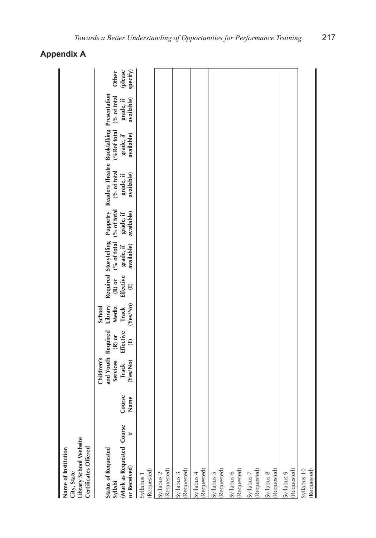| Library School Website<br>Certificates Offered<br>Name of Institution<br>City, State    |                |                                                                                 |                                   |                                                        |                                          |                                                                  |                                        |                                                                                             |                                        |                                         |                              |
|-----------------------------------------------------------------------------------------|----------------|---------------------------------------------------------------------------------|-----------------------------------|--------------------------------------------------------|------------------------------------------|------------------------------------------------------------------|----------------------------------------|---------------------------------------------------------------------------------------------|----------------------------------------|-----------------------------------------|------------------------------|
| (Mark as Requested Course<br>#<br><b>Status of Requested</b><br>or Received)<br>Syllabi | Course<br>Name | and Youth Required<br>Children's<br><b>Services</b><br>(Yes/No)<br><b>Track</b> | Effective<br>$(R)$ or<br>$\oplus$ | (Yes/No)<br>Library<br>Media<br>School<br><b>Track</b> | <b>Effective</b><br>$(R)$ or<br>$\oplus$ | (% of total)<br>Required Storytelling<br>available)<br>grade, if | (% of total<br>available)<br>grade, if | Puppetry Readers Theatre Booktalking Presentation<br>(% of total<br>available)<br>grade, if | (%Rof total<br>available)<br>grade, if | (% of total)<br>available)<br>grade, if | (please<br>specify)<br>Other |
| (Requested)<br>Syllabus 1                                                               |                |                                                                                 |                                   |                                                        |                                          |                                                                  |                                        |                                                                                             |                                        |                                         |                              |
| (Requested)<br>Syllabus 2                                                               |                |                                                                                 |                                   |                                                        |                                          |                                                                  |                                        |                                                                                             |                                        |                                         |                              |
| (Requested)<br>Syllabus 3                                                               |                |                                                                                 |                                   |                                                        |                                          |                                                                  |                                        |                                                                                             |                                        |                                         |                              |
| Requested)<br>Syllabus 4                                                                |                |                                                                                 |                                   |                                                        |                                          |                                                                  |                                        |                                                                                             |                                        |                                         |                              |
| Requested)<br>Syllabus 5                                                                |                |                                                                                 |                                   |                                                        |                                          |                                                                  |                                        |                                                                                             |                                        |                                         |                              |
| Requested)<br>Syllabus 6                                                                |                |                                                                                 |                                   |                                                        |                                          |                                                                  |                                        |                                                                                             |                                        |                                         |                              |
| Requested)<br>Syllabus 7                                                                |                |                                                                                 |                                   |                                                        |                                          |                                                                  |                                        |                                                                                             |                                        |                                         |                              |
| Requested)<br>Syllabus 8                                                                |                |                                                                                 |                                   |                                                        |                                          |                                                                  |                                        |                                                                                             |                                        |                                         |                              |
| (Requested)<br>Syllabus 9                                                               |                |                                                                                 |                                   |                                                        |                                          |                                                                  |                                        |                                                                                             |                                        |                                         |                              |
| (Requested)<br>Syllabus 10                                                              |                |                                                                                 |                                   |                                                        |                                          |                                                                  |                                        |                                                                                             |                                        |                                         |                              |
|                                                                                         |                |                                                                                 |                                   |                                                        |                                          |                                                                  |                                        |                                                                                             |                                        |                                         |                              |

## **Appendix A**